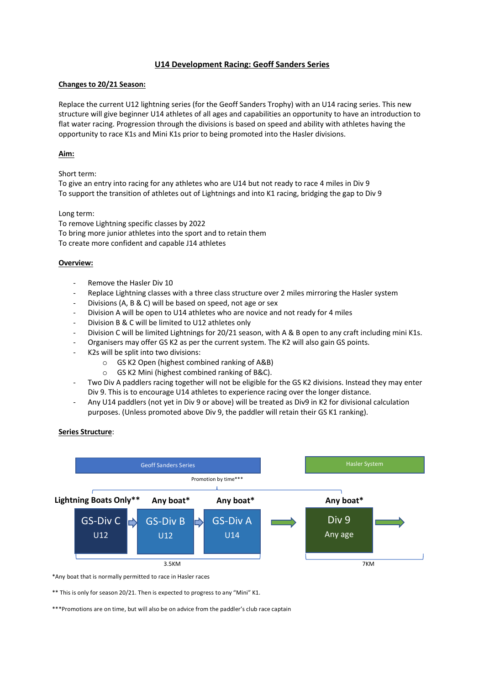# **U14 Development Racing: Geoff Sanders Series**

## **Changes to 20/21 Season:**

Replace the current U12 lightning series (for the Geoff Sanders Trophy) with an U14 racing series. This new structure will give beginner U14 athletes of all ages and capabilities an opportunity to have an introduction to flat water racing. Progression through the divisions is based on speed and ability with athletes having the opportunity to race K1s and Mini K1s prior to being promoted into the Hasler divisions.

### **Aim:**

Short term:

To give an entry into racing for any athletes who are U14 but not ready to race 4 miles in Div 9 To support the transition of athletes out of Lightnings and into K1 racing, bridging the gap to Div 9

#### Long term:

To remove Lightning specific classes by 2022 To bring more junior athletes into the sport and to retain them To create more confident and capable J14 athletes

### **Overview:**

- Remove the Hasler Div 10
- Replace Lightning classes with a three class structure over 2 miles mirroring the Hasler system
- Divisions (A, B & C) will be based on speed, not age or sex
- Division A will be open to U14 athletes who are novice and not ready for 4 miles
- Division B & C will be limited to U12 athletes only
- Division C will be limited Lightnings for 20/21 season, with A & B open to any craft including mini K1s.
- Organisers may offer GS K2 as per the current system. The K2 will also gain GS points.
- K2s will be split into two divisions:
	- o GS K2 Open (highest combined ranking of A&B)
	- o GS K2 Mini (highest combined ranking of B&C).
- Two Div A paddlers racing together will not be eligible for the GS K2 divisions. Instead they may enter Div 9. This is to encourage U14 athletes to experience racing over the longer distance.
- Any U14 paddlers (not yet in Div 9 or above) will be treated as Div9 in K2 for divisional calculation purposes. (Unless promoted above Div 9, the paddler will retain their GS K1 ranking).

#### **Series Structure**:



\*Any boat that is normally permitted to race in Hasler races

\*\* This is only for season 20/21. Then is expected to progress to any "Mini" K1.

\*\*\*Promotions are on time, but will also be on advice from the paddler's club race captain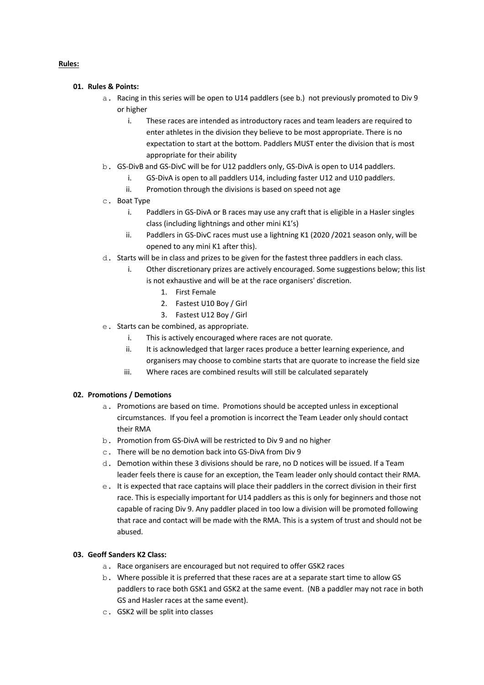## **Rules:**

- **01. Rules & Points:**
	- a. Racing in this series will be open to U14 paddlers (see b.) not previously promoted to Div 9 or higher
		- i. These races are intended as introductory races and team leaders are required to enter athletes in the division they believe to be most appropriate. There is no expectation to start at the bottom. Paddlers MUST enter the division that is most appropriate for their ability
	- b. GS-DivB and GS-DivC will be for U12 paddlers only, GS-DivA is open to U14 paddlers.
		- i. GS-DivA is open to all paddlers U14, including faster U12 and U10 paddlers.
		- ii. Promotion through the divisions is based on speed not age
	- c. Boat Type
		- i. Paddlers in GS-DivA or B races may use any craft that is eligible in a Hasler singles class (including lightnings and other mini K1's)
		- ii. Paddlers in GS-DivC races must use a lightning K1 (2020 /2021 season only, will be opened to any mini K1 after this).
	- d. Starts will be in class and prizes to be given for the fastest three paddlers in each class.
		- i. Other discretionary prizes are actively encouraged. Some suggestions below; this list is not exhaustive and will be at the race organisers' discretion.
			- 1. First Female
			- 2. Fastest U10 Boy / Girl
			- 3. Fastest U12 Boy / Girl
	- e. Starts can be combined, as appropriate.
		- i. This is actively encouraged where races are not quorate.
		- ii. It is acknowledged that larger races produce a better learning experience, and organisers may choose to combine starts that are quorate to increase the field size
		- iii. Where races are combined results will still be calculated separately

### **02. Promotions / Demotions**

- a. Promotions are based on time. Promotions should be accepted unless in exceptional circumstances. If you feel a promotion is incorrect the Team Leader only should contact their RMA
- b. Promotion from GS-DivA will be restricted to Div 9 and no higher
- c. There will be no demotion back into GS-DivA from Div 9
- d. Demotion within these 3 divisions should be rare, no D notices will be issued. If a Team leader feels there is cause for an exception, the Team leader only should contact their RMA.
- e. It is expected that race captains will place their paddlers in the correct division in their first race. This is especially important for U14 paddlers as this is only for beginners and those not capable of racing Div 9. Any paddler placed in too low a division will be promoted following that race and contact will be made with the RMA. This is a system of trust and should not be abused.

### **03. Geoff Sanders K2 Class:**

- a. Race organisers are encouraged but not required to offer GSK2 races
- b. Where possible it is preferred that these races are at a separate start time to allow GS paddlers to race both GSK1 and GSK2 at the same event. (NB a paddler may not race in both GS and Hasler races at the same event).
- c. GSK2 will be split into classes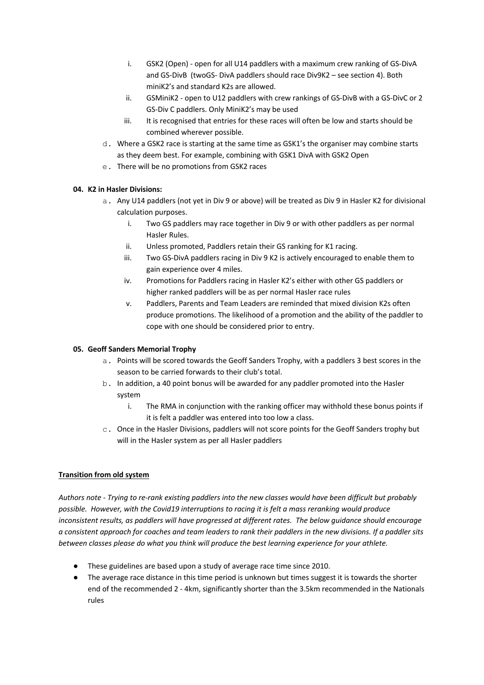- i. GSK2 (Open) open for all U14 paddlers with a maximum crew ranking of GS-DivA and GS-DivB (twoGS- DivA paddlers should race Div9K2 – see section 4). Both miniK2's and standard K2s are allowed.
- ii. GSMiniK2 open to U12 paddlers with crew rankings of GS-DivB with a GS-DivC or 2 GS-Div C paddlers. Only MiniK2's may be used
- iii. It is recognised that entries for these races will often be low and starts should be combined wherever possible.
- d. Where a GSK2 race is starting at the same time as GSK1's the organiser may combine starts as they deem best. For example, combining with GSK1 DivA with GSK2 Open
- e. There will be no promotions from GSK2 races

# **04. K2 in Hasler Divisions:**

- a. Any U14 paddlers (not yet in Div 9 or above) will be treated as Div 9 in Hasler K2 for divisional calculation purposes.
	- i. Two GS paddlers may race together in Div 9 or with other paddlers as per normal Hasler Rules.
	- ii. Unless promoted, Paddlers retain their GS ranking for K1 racing.
	- iii. Two GS-DivA paddlers racing in Div 9 K2 is actively encouraged to enable them to gain experience over 4 miles.
	- iv. Promotions for Paddlers racing in Hasler K2's either with other GS paddlers or higher ranked paddlers will be as per normal Hasler race rules
	- v. Paddlers, Parents and Team Leaders are reminded that mixed division K2s often produce promotions. The likelihood of a promotion and the ability of the paddler to cope with one should be considered prior to entry.

# **05. Geoff Sanders Memorial Trophy**

- a. Points will be scored towards the Geoff Sanders Trophy, with a paddlers 3 best scores in the season to be carried forwards to their club's total.
- b. In addition, a 40 point bonus will be awarded for any paddler promoted into the Hasler system
	- i. The RMA in conjunction with the ranking officer may withhold these bonus points if it is felt a paddler was entered into too low a class.
- c. Once in the Hasler Divisions, paddlers will not score points for the Geoff Sanders trophy but will in the Hasler system as per all Hasler paddlers

# **Transition from old system**

*Authors note - Trying to re-rank existing paddlers into the new classes would have been difficult but probably possible. However, with the Covid19 interruptions to racing it is felt a mass reranking would produce inconsistent results, as paddlers will have progressed at different rates. The below guidance should encourage a consistent approach for coaches and team leaders to rank their paddlers in the new divisions. If a paddler sits between classes please do what you think will produce the best learning experience for your athlete.* 

- These guidelines are based upon a study of average race time since 2010.
- The average race distance in this time period is unknown but times suggest it is towards the shorter end of the recommended 2 - 4km, significantly shorter than the 3.5km recommended in the Nationals rules